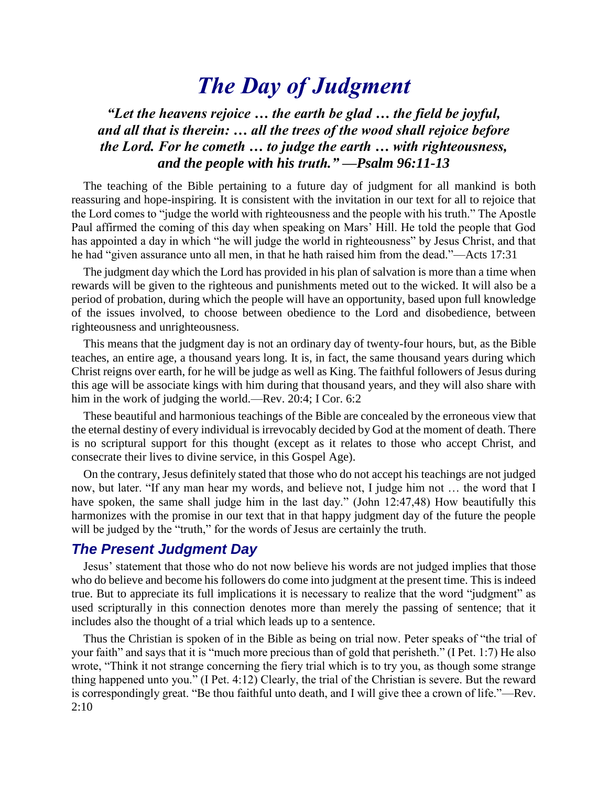# *The Day of Judgment*

## *"Let the heavens rejoice … the earth be glad … the field be joyful, and all that is therein: … all the trees of the wood shall rejoice before the Lord. For he cometh … to judge the earth … with righteousness, and the people with his truth." —Psalm 96:11-13*

The teaching of the Bible pertaining to a future day of judgment for all mankind is both reassuring and hope-inspiring. It is consistent with the invitation in our text for all to rejoice that the Lord comes to "judge the world with righteousness and the people with his truth." The Apostle Paul affirmed the coming of this day when speaking on Mars' Hill. He told the people that God has appointed a day in which "he will judge the world in righteousness" by Jesus Christ, and that he had "given assurance unto all men, in that he hath raised him from the dead."—Acts 17:31

The judgment day which the Lord has provided in his plan of salvation is more than a time when rewards will be given to the righteous and punishments meted out to the wicked. It will also be a period of probation, during which the people will have an opportunity, based upon full knowledge of the issues involved, to choose between obedience to the Lord and disobedience, between righteousness and unrighteousness.

This means that the judgment day is not an ordinary day of twenty-four hours, but, as the Bible teaches, an entire age, a thousand years long. It is, in fact, the same thousand years during which Christ reigns over earth, for he will be judge as well as King. The faithful followers of Jesus during this age will be associate kings with him during that thousand years, and they will also share with him in the work of judging the world.—Rev. 20:4; I Cor. 6:2

These beautiful and harmonious teachings of the Bible are concealed by the erroneous view that the eternal destiny of every individual is irrevocably decided by God at the moment of death. There is no scriptural support for this thought (except as it relates to those who accept Christ, and consecrate their lives to divine service, in this Gospel Age).

On the contrary, Jesus definitely stated that those who do not accept his teachings are not judged now, but later. "If any man hear my words, and believe not, I judge him not … the word that I have spoken, the same shall judge him in the last day." (John 12:47,48) How beautifully this harmonizes with the promise in our text that in that happy judgment day of the future the people will be judged by the "truth," for the words of Jesus are certainly the truth.

### *The Present Judgment Day*

Jesus' statement that those who do not now believe his words are not judged implies that those who do believe and become his followers do come into judgment at the present time. This is indeed true. But to appreciate its full implications it is necessary to realize that the word "judgment" as used scripturally in this connection denotes more than merely the passing of sentence; that it includes also the thought of a trial which leads up to a sentence.

Thus the Christian is spoken of in the Bible as being on trial now. Peter speaks of "the trial of your faith" and says that it is "much more precious than of gold that perisheth." (I Pet. 1:7) He also wrote, "Think it not strange concerning the fiery trial which is to try you, as though some strange thing happened unto you." (I Pet. 4:12) Clearly, the trial of the Christian is severe. But the reward is correspondingly great. "Be thou faithful unto death, and I will give thee a crown of life."—Rev. 2:10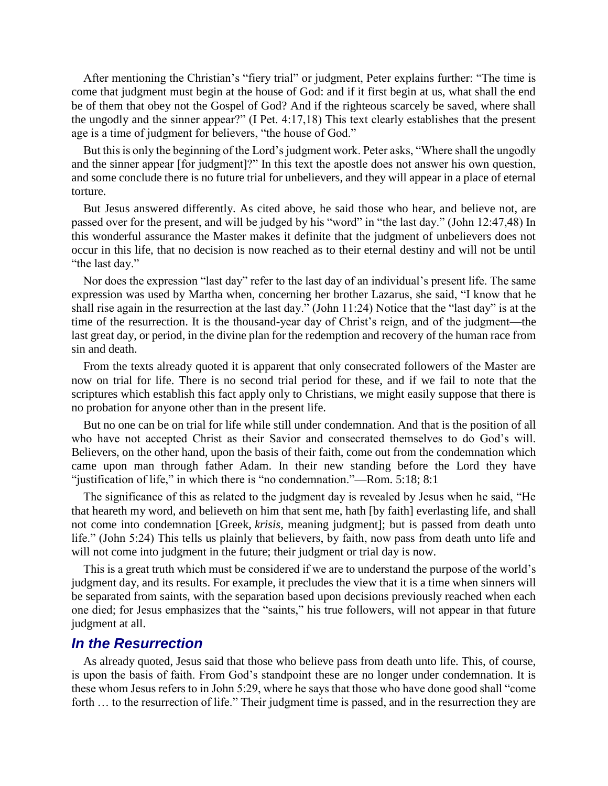After mentioning the Christian's "fiery trial" or judgment, Peter explains further: "The time is come that judgment must begin at the house of God: and if it first begin at us, what shall the end be of them that obey not the Gospel of God? And if the righteous scarcely be saved, where shall the ungodly and the sinner appear?" (I Pet. 4:17,18) This text clearly establishes that the present age is a time of judgment for believers, "the house of God."

But this is only the beginning of the Lord's judgment work. Peter asks, "Where shall the ungodly and the sinner appear [for judgment]?" In this text the apostle does not answer his own question, and some conclude there is no future trial for unbelievers, and they will appear in a place of eternal torture.

But Jesus answered differently. As cited above, he said those who hear, and believe not, are passed over for the present, and will be judged by his "word" in "the last day." (John 12:47,48) In this wonderful assurance the Master makes it definite that the judgment of unbelievers does not occur in this life, that no decision is now reached as to their eternal destiny and will not be until "the last day."

Nor does the expression "last day" refer to the last day of an individual's present life. The same expression was used by Martha when, concerning her brother Lazarus, she said, "I know that he shall rise again in the resurrection at the last day." (John 11:24) Notice that the "last day" is at the time of the resurrection. It is the thousand-year day of Christ's reign, and of the judgment—the last great day, or period, in the divine plan for the redemption and recovery of the human race from sin and death.

From the texts already quoted it is apparent that only consecrated followers of the Master are now on trial for life. There is no second trial period for these, and if we fail to note that the scriptures which establish this fact apply only to Christians, we might easily suppose that there is no probation for anyone other than in the present life.

But no one can be on trial for life while still under condemnation. And that is the position of all who have not accepted Christ as their Savior and consecrated themselves to do God's will. Believers, on the other hand, upon the basis of their faith, come out from the condemnation which came upon man through father Adam. In their new standing before the Lord they have "justification of life," in which there is "no condemnation."—Rom. 5:18; 8:1

The significance of this as related to the judgment day is revealed by Jesus when he said, "He that heareth my word, and believeth on him that sent me, hath [by faith] everlasting life, and shall not come into condemnation [Greek, *krisis*, meaning judgment]; but is passed from death unto life." (John 5:24) This tells us plainly that believers, by faith, now pass from death unto life and will not come into judgment in the future; their judgment or trial day is now.

This is a great truth which must be considered if we are to understand the purpose of the world's judgment day, and its results. For example, it precludes the view that it is a time when sinners will be separated from saints, with the separation based upon decisions previously reached when each one died; for Jesus emphasizes that the "saints," his true followers, will not appear in that future judgment at all.

#### *In the Resurrection*

As already quoted, Jesus said that those who believe pass from death unto life. This, of course, is upon the basis of faith. From God's standpoint these are no longer under condemnation. It is these whom Jesus refers to in John 5:29, where he says that those who have done good shall "come forth ... to the resurrection of life." Their judgment time is passed, and in the resurrection they are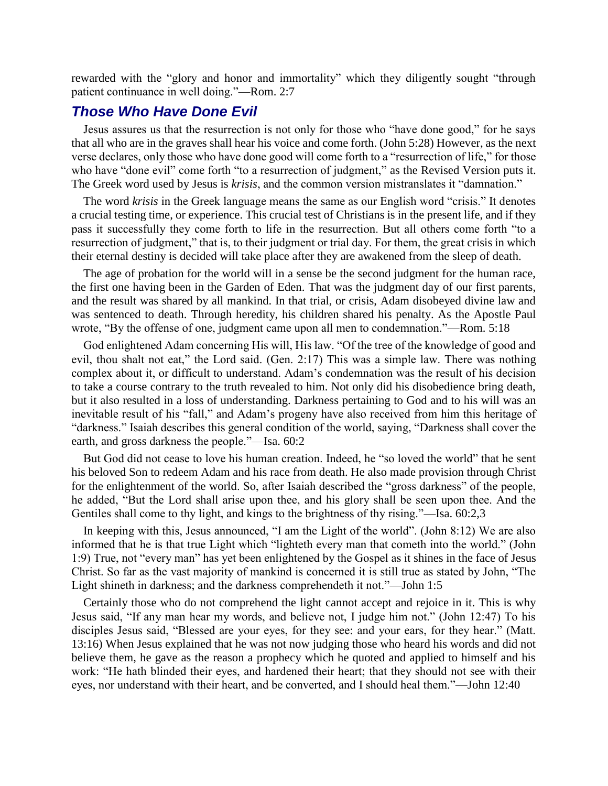rewarded with the "glory and honor and immortality" which they diligently sought "through patient continuance in well doing."—Rom. 2:7

#### *Those Who Have Done Evil*

Jesus assures us that the resurrection is not only for those who "have done good," for he says that all who are in the graves shall hear his voice and come forth. (John 5:28) However, as the next verse declares, only those who have done good will come forth to a "resurrection of life," for those who have "done evil" come forth "to a resurrection of judgment," as the Revised Version puts it. The Greek word used by Jesus is *krisis*, and the common version mistranslates it "damnation."

The word *krisis* in the Greek language means the same as our English word "crisis." It denotes a crucial testing time, or experience. This crucial test of Christians is in the present life, and if they pass it successfully they come forth to life in the resurrection. But all others come forth "to a resurrection of judgment," that is, to their judgment or trial day. For them, the great crisis in which their eternal destiny is decided will take place after they are awakened from the sleep of death.

The age of probation for the world will in a sense be the second judgment for the human race, the first one having been in the Garden of Eden. That was the judgment day of our first parents, and the result was shared by all mankind. In that trial, or crisis, Adam disobeyed divine law and was sentenced to death. Through heredity, his children shared his penalty. As the Apostle Paul wrote, "By the offense of one, judgment came upon all men to condemnation."—Rom. 5:18

God enlightened Adam concerning His will, His law. "Of the tree of the knowledge of good and evil, thou shalt not eat," the Lord said. (Gen. 2:17) This was a simple law. There was nothing complex about it, or difficult to understand. Adam's condemnation was the result of his decision to take a course contrary to the truth revealed to him. Not only did his disobedience bring death, but it also resulted in a loss of understanding. Darkness pertaining to God and to his will was an inevitable result of his "fall," and Adam's progeny have also received from him this heritage of "darkness." Isaiah describes this general condition of the world, saying, "Darkness shall cover the earth, and gross darkness the people."—Isa. 60:2

But God did not cease to love his human creation. Indeed, he "so loved the world" that he sent his beloved Son to redeem Adam and his race from death. He also made provision through Christ for the enlightenment of the world. So, after Isaiah described the "gross darkness" of the people, he added, "But the Lord shall arise upon thee, and his glory shall be seen upon thee. And the Gentiles shall come to thy light, and kings to the brightness of thy rising."—Isa. 60:2,3

In keeping with this, Jesus announced, "I am the Light of the world". (John 8:12) We are also informed that he is that true Light which "lighteth every man that cometh into the world." (John 1:9) True, not "every man" has yet been enlightened by the Gospel as it shines in the face of Jesus Christ. So far as the vast majority of mankind is concerned it is still true as stated by John, "The Light shineth in darkness; and the darkness comprehendeth it not."—John 1:5

Certainly those who do not comprehend the light cannot accept and rejoice in it. This is why Jesus said, "If any man hear my words, and believe not, I judge him not." (John 12:47) To his disciples Jesus said, "Blessed are your eyes, for they see: and your ears, for they hear." (Matt. 13:16) When Jesus explained that he was not now judging those who heard his words and did not believe them, he gave as the reason a prophecy which he quoted and applied to himself and his work: "He hath blinded their eyes, and hardened their heart; that they should not see with their eyes, nor understand with their heart, and be converted, and I should heal them."—John 12:40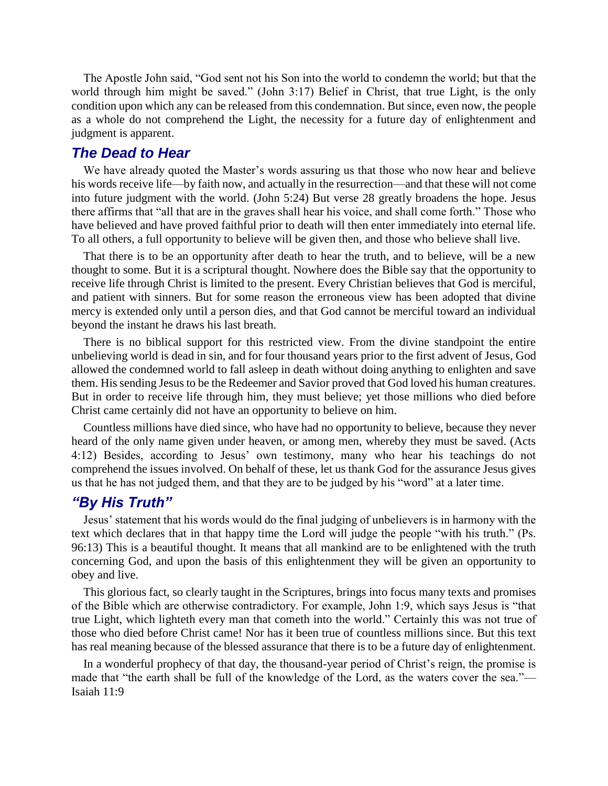The Apostle John said, "God sent not his Son into the world to condemn the world; but that the world through him might be saved." (John 3:17) Belief in Christ, that true Light, is the only condition upon which any can be released from this condemnation. But since, even now, the people as a whole do not comprehend the Light, the necessity for a future day of enlightenment and judgment is apparent.

#### *The Dead to Hear*

We have already quoted the Master's words assuring us that those who now hear and believe his words receive life—by faith now, and actually in the resurrection—and that these will not come into future judgment with the world. (John 5:24) But verse 28 greatly broadens the hope. Jesus there affirms that "all that are in the graves shall hear his voice, and shall come forth." Those who have believed and have proved faithful prior to death will then enter immediately into eternal life. To all others, a full opportunity to believe will be given then, and those who believe shall live.

That there is to be an opportunity after death to hear the truth, and to believe, will be a new thought to some. But it is a scriptural thought. Nowhere does the Bible say that the opportunity to receive life through Christ is limited to the present. Every Christian believes that God is merciful, and patient with sinners. But for some reason the erroneous view has been adopted that divine mercy is extended only until a person dies, and that God cannot be merciful toward an individual beyond the instant he draws his last breath.

There is no biblical support for this restricted view. From the divine standpoint the entire unbelieving world is dead in sin, and for four thousand years prior to the first advent of Jesus, God allowed the condemned world to fall asleep in death without doing anything to enlighten and save them. His sending Jesus to be the Redeemer and Savior proved that God loved his human creatures. But in order to receive life through him, they must believe; yet those millions who died before Christ came certainly did not have an opportunity to believe on him.

Countless millions have died since, who have had no opportunity to believe, because they never heard of the only name given under heaven, or among men, whereby they must be saved. (Acts 4:12) Besides, according to Jesus' own testimony, many who hear his teachings do not comprehend the issues involved. On behalf of these, let us thank God for the assurance Jesus gives us that he has not judged them, and that they are to be judged by his "word" at a later time.

#### *"By His Truth"*

Jesus' statement that his words would do the final judging of unbelievers is in harmony with the text which declares that in that happy time the Lord will judge the people "with his truth." (Ps. 96:13) This is a beautiful thought. It means that all mankind are to be enlightened with the truth concerning God, and upon the basis of this enlightenment they will be given an opportunity to obey and live.

This glorious fact, so clearly taught in the Scriptures, brings into focus many texts and promises of the Bible which are otherwise contradictory. For example, John 1:9, which says Jesus is "that true Light, which lighteth every man that cometh into the world." Certainly this was not true of those who died before Christ came! Nor has it been true of countless millions since. But this text has real meaning because of the blessed assurance that there is to be a future day of enlightenment.

In a wonderful prophecy of that day, the thousand-year period of Christ's reign, the promise is made that "the earth shall be full of the knowledge of the Lord, as the waters cover the sea."— Isaiah 11:9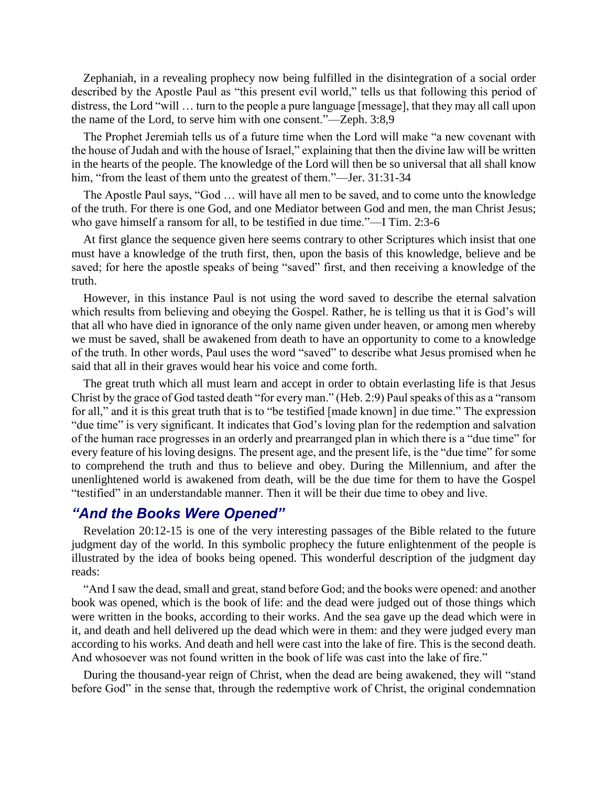Zephaniah, in a revealing prophecy now being fulfilled in the disintegration of a social order described by the Apostle Paul as "this present evil world," tells us that following this period of distress, the Lord "will … turn to the people a pure language [message], that they may all call upon the name of the Lord, to serve him with one consent."—Zeph. 3:8,9

The Prophet Jeremiah tells us of a future time when the Lord will make "a new covenant with the house of Judah and with the house of Israel," explaining that then the divine law will be written in the hearts of the people. The knowledge of the Lord will then be so universal that all shall know him, "from the least of them unto the greatest of them."—Jer. 31:31-34

The Apostle Paul says, "God … will have all men to be saved, and to come unto the knowledge of the truth. For there is one God, and one Mediator between God and men, the man Christ Jesus; who gave himself a ransom for all, to be testified in due time."—I Tim. 2:3-6

At first glance the sequence given here seems contrary to other Scriptures which insist that one must have a knowledge of the truth first, then, upon the basis of this knowledge, believe and be saved; for here the apostle speaks of being "saved" first, and then receiving a knowledge of the truth.

However, in this instance Paul is not using the word saved to describe the eternal salvation which results from believing and obeying the Gospel. Rather, he is telling us that it is God's will that all who have died in ignorance of the only name given under heaven, or among men whereby we must be saved, shall be awakened from death to have an opportunity to come to a knowledge of the truth. In other words, Paul uses the word "saved" to describe what Jesus promised when he said that all in their graves would hear his voice and come forth.

The great truth which all must learn and accept in order to obtain everlasting life is that Jesus Christ by the grace of God tasted death "for every man." (Heb. 2:9) Paul speaks of this as a "ransom for all," and it is this great truth that is to "be testified [made known] in due time." The expression "due time" is very significant. It indicates that God's loving plan for the redemption and salvation of the human race progresses in an orderly and prearranged plan in which there is a "due time" for every feature of his loving designs. The present age, and the present life, is the "due time" for some to comprehend the truth and thus to believe and obey. During the Millennium, and after the unenlightened world is awakened from death, will be the due time for them to have the Gospel "testified" in an understandable manner. Then it will be their due time to obey and live.

#### *"And the Books Were Opened"*

Revelation 20:12-15 is one of the very interesting passages of the Bible related to the future judgment day of the world. In this symbolic prophecy the future enlightenment of the people is illustrated by the idea of books being opened. This wonderful description of the judgment day reads:

"And I saw the dead, small and great, stand before God; and the books were opened: and another book was opened, which is the book of life: and the dead were judged out of those things which were written in the books, according to their works. And the sea gave up the dead which were in it, and death and hell delivered up the dead which were in them: and they were judged every man according to his works. And death and hell were cast into the lake of fire. This is the second death. And whosoever was not found written in the book of life was cast into the lake of fire."

During the thousand-year reign of Christ, when the dead are being awakened, they will "stand before God" in the sense that, through the redemptive work of Christ, the original condemnation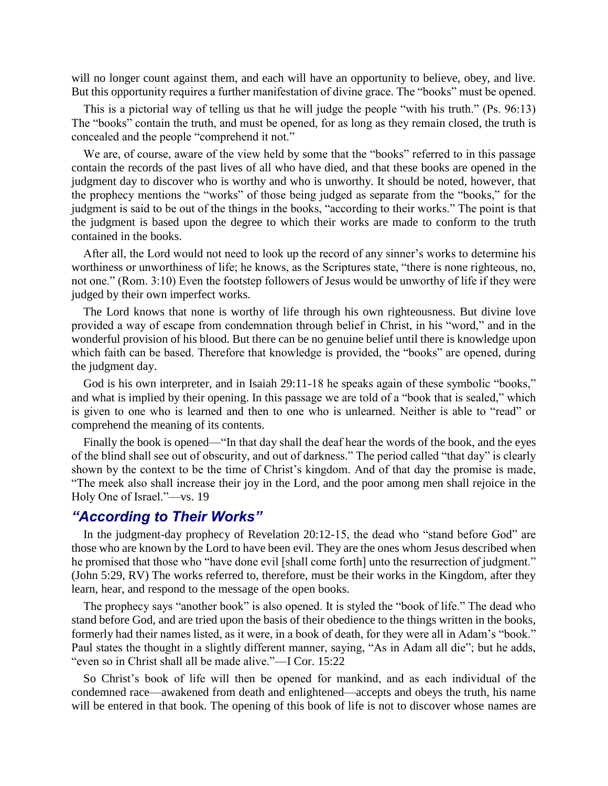will no longer count against them, and each will have an opportunity to believe, obey, and live. But this opportunity requires a further manifestation of divine grace. The "books" must be opened.

This is a pictorial way of telling us that he will judge the people "with his truth." (Ps. 96:13) The "books" contain the truth, and must be opened, for as long as they remain closed, the truth is concealed and the people "comprehend it not."

We are, of course, aware of the view held by some that the "books" referred to in this passage contain the records of the past lives of all who have died, and that these books are opened in the judgment day to discover who is worthy and who is unworthy. It should be noted, however, that the prophecy mentions the "works" of those being judged as separate from the "books," for the judgment is said to be out of the things in the books, "according to their works." The point is that the judgment is based upon the degree to which their works are made to conform to the truth contained in the books.

After all, the Lord would not need to look up the record of any sinner's works to determine his worthiness or unworthiness of life; he knows, as the Scriptures state, "there is none righteous, no, not one." (Rom. 3:10) Even the footstep followers of Jesus would be unworthy of life if they were judged by their own imperfect works.

The Lord knows that none is worthy of life through his own righteousness. But divine love provided a way of escape from condemnation through belief in Christ, in his "word," and in the wonderful provision of his blood. But there can be no genuine belief until there is knowledge upon which faith can be based. Therefore that knowledge is provided, the "books" are opened, during the judgment day.

God is his own interpreter, and in Isaiah 29:11-18 he speaks again of these symbolic "books," and what is implied by their opening. In this passage we are told of a "book that is sealed," which is given to one who is learned and then to one who is unlearned. Neither is able to "read" or comprehend the meaning of its contents.

Finally the book is opened—"In that day shall the deaf hear the words of the book, and the eyes of the blind shall see out of obscurity, and out of darkness." The period called "that day" is clearly shown by the context to be the time of Christ's kingdom. And of that day the promise is made, "The meek also shall increase their joy in the Lord, and the poor among men shall rejoice in the Holy One of Israel."—vs. 19

#### *"According to Their Works"*

In the judgment-day prophecy of Revelation 20:12-15, the dead who "stand before God" are those who are known by the Lord to have been evil. They are the ones whom Jesus described when he promised that those who "have done evil [shall come forth] unto the resurrection of judgment." (John 5:29, RV) The works referred to, therefore, must be their works in the Kingdom, after they learn, hear, and respond to the message of the open books.

The prophecy says "another book" is also opened. It is styled the "book of life." The dead who stand before God, and are tried upon the basis of their obedience to the things written in the books, formerly had their names listed, as it were, in a book of death, for they were all in Adam's "book." Paul states the thought in a slightly different manner, saying, "As in Adam all die"; but he adds, "even so in Christ shall all be made alive."—I Cor. 15:22

So Christ's book of life will then be opened for mankind, and as each individual of the condemned race—awakened from death and enlightened—accepts and obeys the truth, his name will be entered in that book. The opening of this book of life is not to discover whose names are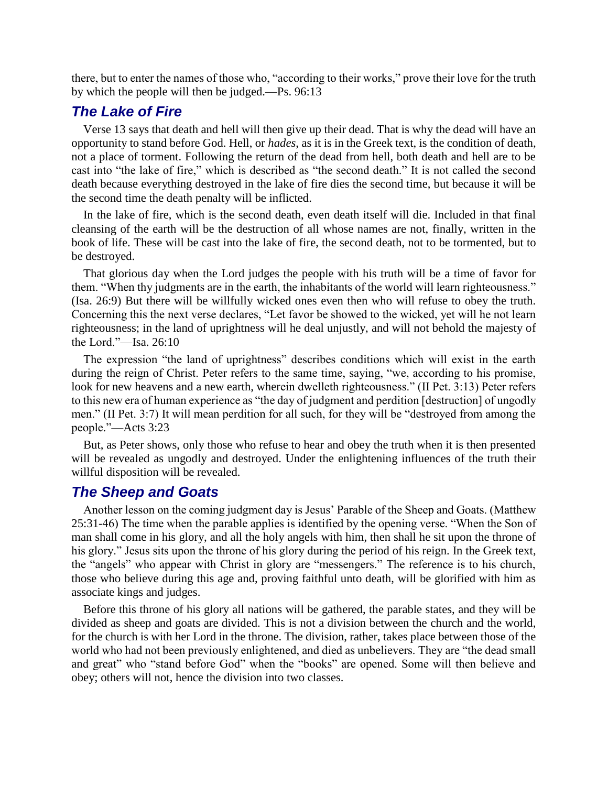there, but to enter the names of those who, "according to their works," prove their love for the truth by which the people will then be judged.—Ps. 96:13

## *The Lake of Fire*

Verse 13 says that death and hell will then give up their dead. That is why the dead will have an opportunity to stand before God. Hell, or *hades*, as it is in the Greek text, is the condition of death, not a place of torment. Following the return of the dead from hell, both death and hell are to be cast into "the lake of fire," which is described as "the second death." It is not called the second death because everything destroyed in the lake of fire dies the second time, but because it will be the second time the death penalty will be inflicted.

In the lake of fire, which is the second death, even death itself will die. Included in that final cleansing of the earth will be the destruction of all whose names are not, finally, written in the book of life. These will be cast into the lake of fire, the second death, not to be tormented, but to be destroyed.

That glorious day when the Lord judges the people with his truth will be a time of favor for them. "When thy judgments are in the earth, the inhabitants of the world will learn righteousness." (Isa. 26:9) But there will be willfully wicked ones even then who will refuse to obey the truth. Concerning this the next verse declares, "Let favor be showed to the wicked, yet will he not learn righteousness; in the land of uprightness will he deal unjustly, and will not behold the majesty of the Lord."—Isa. 26:10

The expression "the land of uprightness" describes conditions which will exist in the earth during the reign of Christ. Peter refers to the same time, saying, "we, according to his promise, look for new heavens and a new earth, wherein dwelleth righteousness." (II Pet. 3:13) Peter refers to this new era of human experience as "the day of judgment and perdition [destruction] of ungodly men." (II Pet. 3:7) It will mean perdition for all such, for they will be "destroyed from among the people."—Acts 3:23

But, as Peter shows, only those who refuse to hear and obey the truth when it is then presented will be revealed as ungodly and destroyed. Under the enlightening influences of the truth their willful disposition will be revealed.

## *The Sheep and Goats*

Another lesson on the coming judgment day is Jesus' Parable of the Sheep and Goats. (Matthew 25:31-46) The time when the parable applies is identified by the opening verse. "When the Son of man shall come in his glory, and all the holy angels with him, then shall he sit upon the throne of his glory." Jesus sits upon the throne of his glory during the period of his reign. In the Greek text, the "angels" who appear with Christ in glory are "messengers." The reference is to his church, those who believe during this age and, proving faithful unto death, will be glorified with him as associate kings and judges.

Before this throne of his glory all nations will be gathered, the parable states, and they will be divided as sheep and goats are divided. This is not a division between the church and the world, for the church is with her Lord in the throne. The division, rather, takes place between those of the world who had not been previously enlightened, and died as unbelievers. They are "the dead small and great" who "stand before God" when the "books" are opened. Some will then believe and obey; others will not, hence the division into two classes.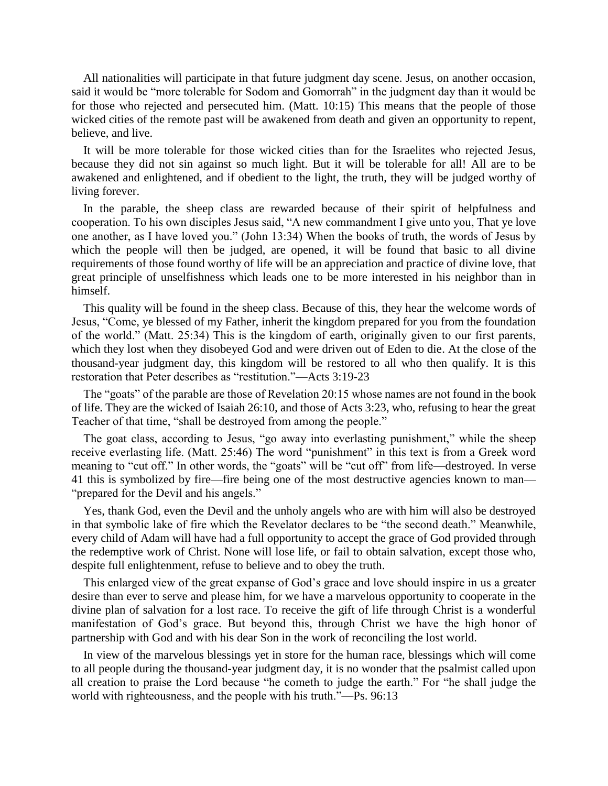All nationalities will participate in that future judgment day scene. Jesus, on another occasion, said it would be "more tolerable for Sodom and Gomorrah" in the judgment day than it would be for those who rejected and persecuted him. (Matt. 10:15) This means that the people of those wicked cities of the remote past will be awakened from death and given an opportunity to repent, believe, and live.

It will be more tolerable for those wicked cities than for the Israelites who rejected Jesus, because they did not sin against so much light. But it will be tolerable for all! All are to be awakened and enlightened, and if obedient to the light, the truth, they will be judged worthy of living forever.

In the parable, the sheep class are rewarded because of their spirit of helpfulness and cooperation. To his own disciples Jesus said, "A new commandment I give unto you, That ye love one another, as I have loved you." (John 13:34) When the books of truth, the words of Jesus by which the people will then be judged, are opened, it will be found that basic to all divine requirements of those found worthy of life will be an appreciation and practice of divine love, that great principle of unselfishness which leads one to be more interested in his neighbor than in himself.

This quality will be found in the sheep class. Because of this, they hear the welcome words of Jesus, "Come, ye blessed of my Father, inherit the kingdom prepared for you from the foundation of the world." (Matt. 25:34) This is the kingdom of earth, originally given to our first parents, which they lost when they disobeyed God and were driven out of Eden to die. At the close of the thousand-year judgment day, this kingdom will be restored to all who then qualify. It is this restoration that Peter describes as "restitution."—Acts 3:19-23

The "goats" of the parable are those of Revelation 20:15 whose names are not found in the book of life. They are the wicked of Isaiah 26:10, and those of Acts 3:23, who, refusing to hear the great Teacher of that time, "shall be destroyed from among the people."

The goat class, according to Jesus, "go away into everlasting punishment," while the sheep receive everlasting life. (Matt. 25:46) The word "punishment" in this text is from a Greek word meaning to "cut off." In other words, the "goats" will be "cut off" from life—destroyed. In verse 41 this is symbolized by fire—fire being one of the most destructive agencies known to man— "prepared for the Devil and his angels."

Yes, thank God, even the Devil and the unholy angels who are with him will also be destroyed in that symbolic lake of fire which the Revelator declares to be "the second death." Meanwhile, every child of Adam will have had a full opportunity to accept the grace of God provided through the redemptive work of Christ. None will lose life, or fail to obtain salvation, except those who, despite full enlightenment, refuse to believe and to obey the truth.

This enlarged view of the great expanse of God's grace and love should inspire in us a greater desire than ever to serve and please him, for we have a marvelous opportunity to cooperate in the divine plan of salvation for a lost race. To receive the gift of life through Christ is a wonderful manifestation of God's grace. But beyond this, through Christ we have the high honor of partnership with God and with his dear Son in the work of reconciling the lost world.

In view of the marvelous blessings yet in store for the human race, blessings which will come to all people during the thousand-year judgment day, it is no wonder that the psalmist called upon all creation to praise the Lord because "he cometh to judge the earth." For "he shall judge the world with righteousness, and the people with his truth."—Ps. 96:13